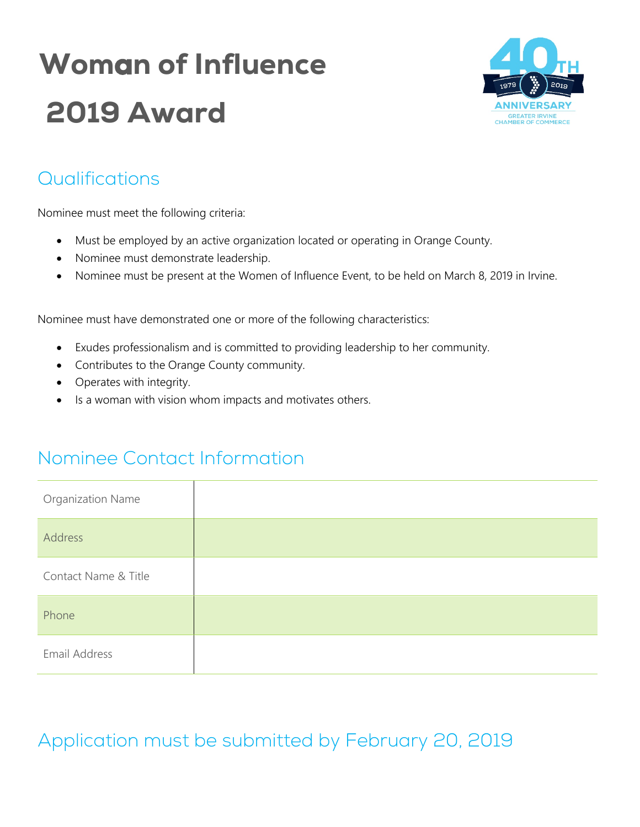# Woman of Influence 2019 Award



#### Qualifications

Nominee must meet the following criteria:

- Must be employed by an active organization located or operating in Orange County.
- Nominee must demonstrate leadership.
- Nominee must be present at the Women of Influence Event, to be held on March 8, 2019 in Irvine.

Nominee must have demonstrated one or more of the following characteristics:

- Exudes professionalism and is committed to providing leadership to her community.
- Contributes to the Orange County community.
- Operates with integrity.
- Is a woman with vision whom impacts and motivates others.

#### Nominee Contact Information

| <b>Organization Name</b> |  |
|--------------------------|--|
| Address                  |  |
| Contact Name & Title     |  |
| Phone                    |  |
| Email Address            |  |

## Application must be submitted by February 20, 2019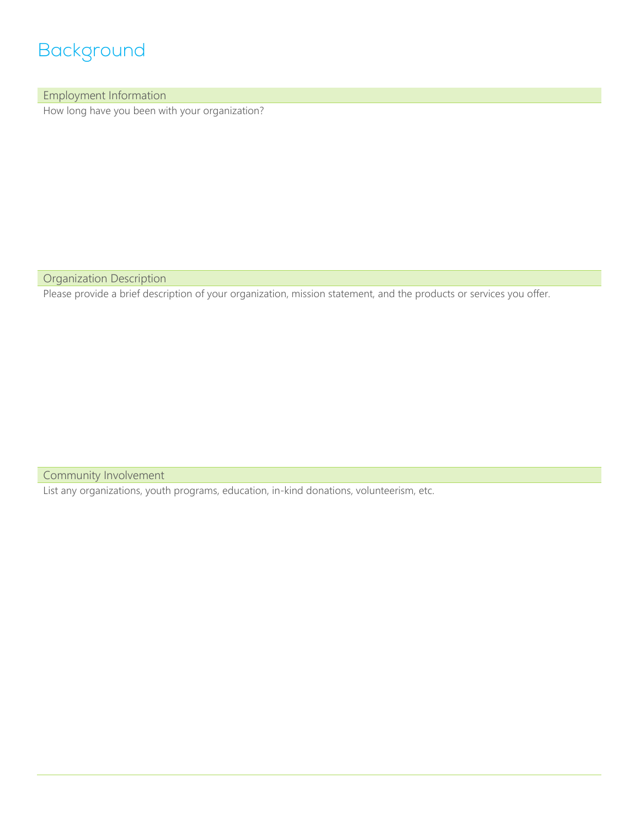### Background

Employment Information

How long have you been with your organization?

Organization Description

Please provide a brief description of your organization, mission statement, and the products or services you offer.

Community Involvement

List any organizations, youth programs, education, in-kind donations, volunteerism, etc.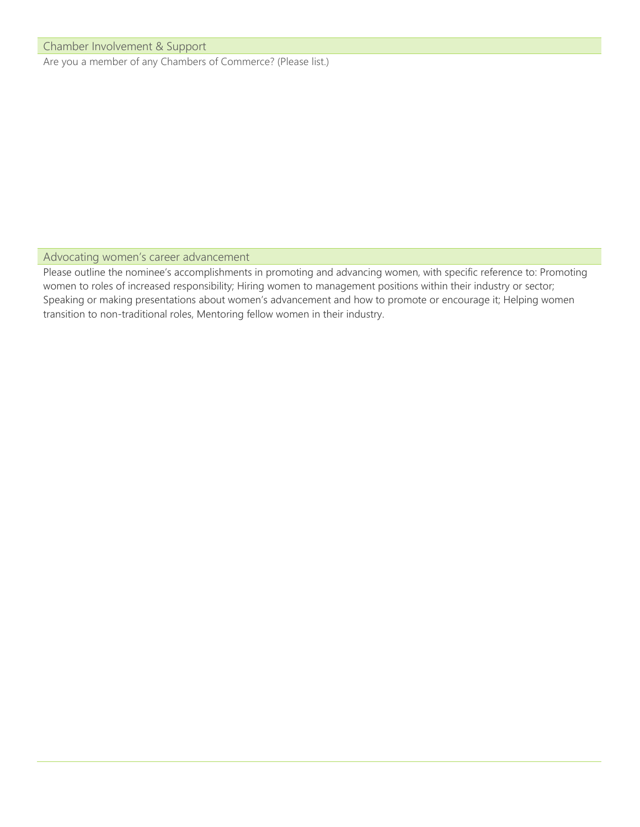#### Chamber Involvement & Support

Are you a member of any Chambers of Commerce? (Please list.)

#### Advocating women's career advancement

Please outline the nominee's accomplishments in promoting and advancing women, with specific reference to: Promoting women to roles of increased responsibility; Hiring women to management positions within their industry or sector; Speaking or making presentations about women's advancement and how to promote or encourage it; Helping women transition to non-traditional roles, Mentoring fellow women in their industry.